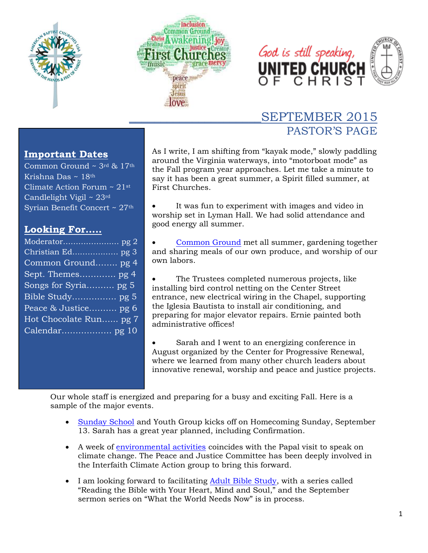





# \_\_\_\_\_\_\_\_\_\_\_\_\_\_\_\_\_\_\_\_\_SEPTEMBER 2015 PASTOR'S PAGE

#### **Important Dates**

Common Ground  $\sim$  3rd & 17th Krishna Das ~ 18th Climate Action Forum ~ 21st Candlelight Vigil  $\sim 23$ <sup>rd</sup> Syrian Benefit Concert ~ 27th

#### **Looking For…..**

| Common Ground pg 4     |
|------------------------|
| Sept. Themes pg 4      |
| Songs for Syria pg 5   |
|                        |
| Peace & Justice pg 6   |
| Hot Chocolate Run pg 7 |
|                        |
|                        |

As I write, I am shifting from "kayak mode," slowly paddling around the Virginia waterways, into "motorboat mode" as the Fall program year approaches. Let me take a minute to say it has been a great summer, a Spirit filled summer, at First Churches.

 It was fun to experiment with images and video in worship set in Lyman Hall. We had solid attendance and good energy all summer.

 [Common Ground](#page-3-0) met all summer, gardening together and sharing meals of our own produce, and worship of our own labors.

 The Trustees completed numerous projects, like installing bird control netting on the Center Street entrance, new electrical wiring in the Chapel, supporting the Iglesia Bautista to install air conditioning, and preparing for major elevator repairs. Ernie painted both administrative offices!

 Sarah and I went to an energizing conference in August organized by the Center for Progressive Renewal, where we learned from many other church leaders about innovative renewal, worship and peace and justice projects.

Our whole staff is energized and preparing for a busy and exciting Fall. Here is a sample of the major events.

- [Sunday School](#page-2-0) and Youth Group kicks off on Homecoming Sunday, September 13. Sarah has a great year planned, including Confirmation.
- A week of [environmental activities](#page-5-0) coincides with the Papal visit to speak on climate change. The Peace and Justice Committee has been deeply involved in the Interfaith Climate Action group to bring this forward.
- I am looking forward to facilitating [Adult Bible Study,](#page-4-0) with a series called "Reading the Bible with Your Heart, Mind and Soul," and the September sermon series on "What the World Needs Now" is in process.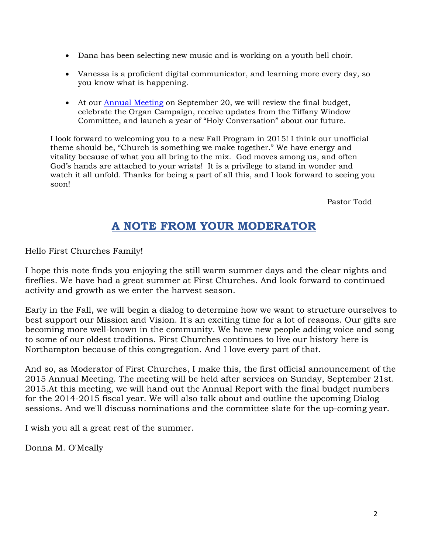- Dana has been selecting new music and is working on a youth bell choir.
- Vanessa is a proficient digital communicator, and learning more every day, so you know what is happening.
- At our [Annual Meeting](#page-1-0) on September 20, we will review the final budget, celebrate the Organ Campaign, receive updates from the Tiffany Window Committee, and launch a year of "Holy Conversation" about our future.

I look forward to welcoming you to a new Fall Program in 2015! I think our unofficial theme should be, "Church is something we make together." We have energy and vitality because of what you all bring to the mix. God moves among us, and often God's hands are attached to your wrists! It is a privilege to stand in wonder and watch it all unfold. Thanks for being a part of all this, and I look forward to seeing you soon!

Pastor Todd

## **A NOTE FROM YOUR MODERATOR**

<span id="page-1-0"></span>Hello First Churches Family!

I hope this note finds you enjoying the still warm summer days and the clear nights and fireflies. We have had a great summer at First Churches. And look forward to continued activity and growth as we enter the harvest season.

Early in the Fall, we will begin a dialog to determine how we want to structure ourselves to best support our Mission and Vision. It's an exciting time for a lot of reasons. Our gifts are becoming more well-known in the community. We have new people adding voice and song to some of our oldest traditions. First Churches continues to live our history here is Northampton because of this congregation. And I love every part of that.

And so, as Moderator of First Churches, I make this, the first official announcement of the 2015 Annual Meeting. The meeting will be held after services on Sunday, September 21st. 2015.At this meeting, we will hand out the Annual Report with the final budget numbers for the 2014-2015 fiscal year. We will also talk about and outline the upcoming Dialog sessions. And we'll discuss nominations and the committee slate for the up-coming year.

I wish you all a great rest of the summer.

Donna M. O'Meally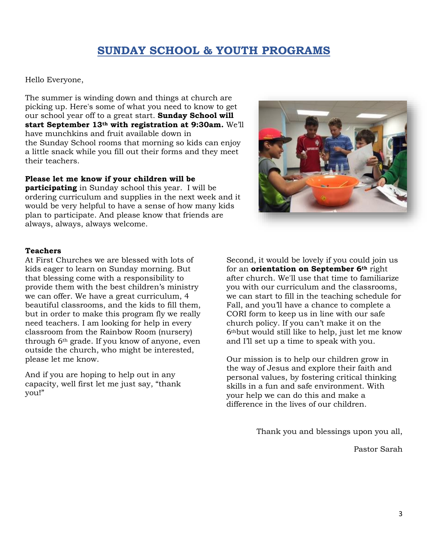## **SUNDAY SCHOOL & YOUTH PROGRAMS**

<span id="page-2-0"></span>Hello Everyone,

The summer is winding down and things at church are picking up. Here's some of what you need to know to get our school year off to a great start. **Sunday School will start September 13th with registration at 9:30am.** We'll have munchkins and fruit available down in the Sunday School rooms that morning so kids can enjoy a little snack while you fill out their forms and they meet their teachers.

#### **Please let me know if your children will be**

**participating** in Sunday school this year. I will be ordering curriculum and supplies in the next week and it would be very helpful to have a sense of how many kids plan to participate. And please know that friends are always, always, always welcome.



#### **Teachers**

At First Churches we are blessed with lots of kids eager to learn on Sunday morning. But that blessing come with a responsibility to provide them with the best children's ministry we can offer. We have a great curriculum, 4 beautiful classrooms, and the kids to fill them, but in order to make this program fly we really need teachers. I am looking for help in every classroom from the Rainbow Room (nursery) through 6th grade. If you know of anyone, even outside the church, who might be interested, please let me know.

And if you are hoping to help out in any capacity, well first let me just say, "thank you!"

Second, it would be lovely if you could join us for an **orientation on September 6th** right after church. We'll use that time to familiarize you with our curriculum and the classrooms, we can start to fill in the teaching schedule for Fall, and you'll have a chance to complete a CORI form to keep us in line with our safe church policy. If you can't make it on the 6thbut would still like to help, just let me know and I'll set up a time to speak with you.

Our mission is to help our children grow in the way of Jesus and explore their faith and personal values, by fostering critical thinking skills in a fun and safe environment. With your help we can do this and make a difference in the lives of our children.

Thank you and blessings upon you all,

Pastor Sarah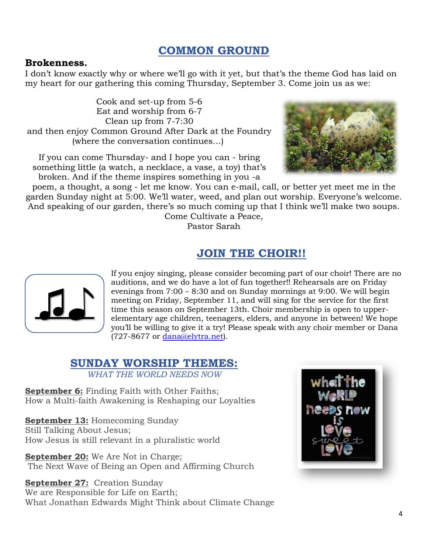## **COMMON GROUND**

#### <span id="page-3-0"></span>**Brokenness.**

I don't know exactly why or where we'll go with it yet, but that's the theme God has laid on my heart for our gathering this coming Thursday, September 3. Come join us as we:

Cook and set-up from 5-6 Eat and worship from 6-7 Clean up from 7-7:30 and then enjoy Common Ground After Dark at the Foundry (where the conversation continues…)

If you can come Thursday- and I hope you can - bring something little (a watch, a necklace, a vase, a toy) that's broken. And if the theme inspires something in you -a



poem, a thought, a song - let me know. You can e-mail, call, or better yet meet me in the garden Sunday night at 5:00. We'll water, weed, and plan out worship. Everyone's welcome. And speaking of our garden, there's so much coming up that I think we'll make two soups. Come Cultivate a Peace,

Pastor Sarah

## **JOIN THE CHOIR!!**



If you enjoy singing, please consider becoming part of our choir! There are no auditions, and we do have a lot of fun together!! Rehearsals are on Friday evenings from 7:00 – 8:30 and on Sunday mornings at 9:00. We will begin meeting on Friday, September 11, and will sing for the service for the first time this season on September 13th. Choir membership is open to upperelementary age children, teenagers, elders, and anyone in between! We hope you'll be willing to give it a try! Please speak with any choir member or Dana (727-8677 or [dana@elytra.net\)](mailto:dana@elytra.net).

#### **SUNDAY WORSHIP THEMES:**  *WHAT THE WORLD NEEDS NOW*

**September 6:** Finding Faith with Other Faiths: How a Multi-faith Awakening is Reshaping our Loyalties

**September 13:** Homecoming Sunday Still Talking About Jesus; How Jesus is still relevant in a pluralistic world

**September 20:** We Are Not in Charge; The Next Wave of Being an Open and Affirming Church

**September 27:** Creation Sunday

We are Responsible for Life on Earth; What Jonathan Edwards Might Think about Climate Change

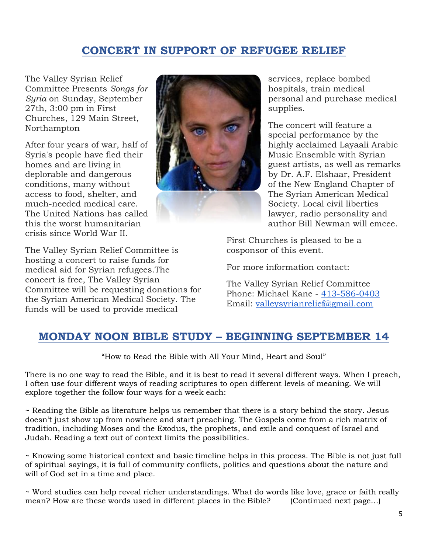## **CONCERT IN SUPPORT OF REFUGEE RELIEF**

The Valley Syrian Relief Committee Presents *Songs for Syria* on Sunday, September 27th, 3:00 pm in First Churches, 129 Main Street, Northampton

After four years of war, half of Syria's people have fled their homes and are living in deplorable and dangerous conditions, many without access to food, shelter, and much-needed medical care. The United Nations has called this the worst humanitarian crisis since World War II.

The Valley Syrian Relief Committee is hosting a concert to raise funds for medical aid for Syrian refugees.The concert is free, The Valley Syrian Committee will be requesting donations for the Syrian American Medical Society. The funds will be used to provide medical



services, replace bombed hospitals, train medical personal and purchase medical supplies.

The concert will feature a special performance by the highly acclaimed Layaali Arabic Music Ensemble with Syrian guest artists, as well as remarks by Dr. A.F. Elshaar, President of the New England Chapter of The Syrian American Medical Society. Local civil liberties lawyer, radio personality and author Bill Newman will emcee.

First Churches is pleased to be a cosponsor of this event.

For more information contact:

The Valley Syrian Relief Committee Phone: Michael Kane - [413-586-0403](tel:413-586-0403) Email: [valleysyrianrelief@gmail.com](mailto:valleysyrianrelief@gmail.com)

#### <span id="page-4-0"></span>**MONDAY NOON BIBLE STUDY – BEGINNING SEPTEMBER 14**

"How to Read the Bible with All Your Mind, Heart and Soul"

There is no one way to read the Bible, and it is best to read it several different ways. When I preach, I often use four different ways of reading scriptures to open different levels of meaning. We will explore together the follow four ways for a week each:

~ Reading the Bible as literature helps us remember that there is a story behind the story. Jesus doesn't just show up from nowhere and start preaching. The Gospels come from a rich matrix of tradition, including Moses and the Exodus, the prophets, and exile and conquest of Israel and Judah. Reading a text out of context limits the possibilities.

~ Knowing some historical context and basic timeline helps in this process. The Bible is not just full of spiritual sayings, it is full of community conflicts, politics and questions about the nature and will of God set in a time and place.

~ Word studies can help reveal richer understandings. What do words like love, grace or faith really mean? How are these words used in different places in the Bible? (Continued next page...)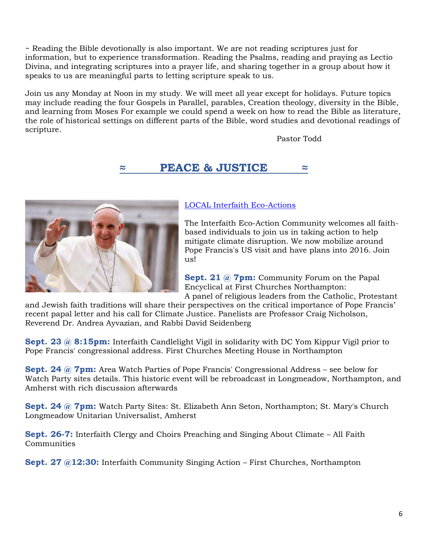~ Reading the Bible devotionally is also important. We are not reading scriptures just for information, but to experience transformation. Reading the Psalms, reading and praying as Lectio Divina, and integrating scriptures into a prayer life, and sharing together in a group about how it speaks to us are meaningful parts to letting scripture speak to us.

Join us any Monday at Noon in my study. We will meet all year except for holidays. Future topics may include reading the four Gospels in Parallel, parables, Creation theology, diversity in the Bible, and learning from Moses For example we could spend a week on how to read the Bible as literature, the role of historical settings on different parts of the Bible, word studies and devotional readings of scripture.

Pastor Todd

## **≈ PEACE & JUSTICE ≈**

<span id="page-5-0"></span>

#### [LOCAL Interfaith Eco-Actions](http://bit.ly/1PxmTTS)

The Interfaith Eco-Action Community welcomes all faithbased individuals to join us in taking action to help mitigate climate disruption. We now mobilize around Pope Francis's US visit and have plans into 2016. Join us!

**Sept. 21 @ 7pm:** Community Forum on the Papal Encyclical at First Churches Northampton: A panel of religious leaders from the Catholic, Protestant

and Jewish faith traditions will share their perspectives on the critical importance of Pope Francis' recent papal letter and his call for Climate Justice. Panelists are Professor Craig Nicholson, Reverend Dr. Andrea Ayvazian, and Rabbi David Seidenberg

**Sept. 23 @ 8:15pm:** Interfaith Candlelight Vigil in solidarity with DC Yom Kippur Vigil prior to Pope Francis' congressional address. First Churches Meeting House in Northampton

**Sept. 24 @ 7pm:** Area Watch Parties of Pope Francis' Congressional Address – see below for Watch Party sites details. This historic event will be rebroadcast in Longmeadow, Northampton, and Amherst with rich discussion afterwards

**Sept. 24 @ 7pm:** Watch Party Sites: St. Elizabeth Ann Seton, Northampton; St. Mary's Church Longmeadow Unitarian Universalist, Amherst

**Sept. 26-7:** Interfaith Clergy and Choirs Preaching and Singing About Climate – All Faith **Communities** 

**Sept. 27 @12:30:** Interfaith Community Singing Action – First Churches, Northampton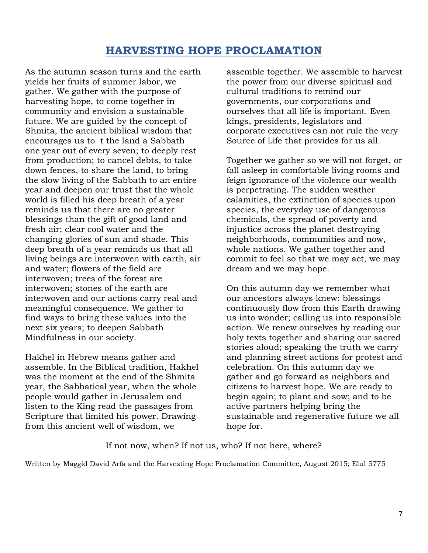## **HARVESTING HOPE PROCLAMATION**

As the autumn season turns and the earth yields her fruits of summer labor, we gather. We gather with the purpose of harvesting hope, to come together in community and envision a sustainable future. We are guided by the concept of Shmita, the ancient biblical wisdom that encourages us to t the land a Sabbath one year out of every seven; to deeply rest from production; to cancel debts, to take down fences, to share the land, to bring the slow living of the Sabbath to an entire year and deepen our trust that the whole world is filled his deep breath of a year reminds us that there are no greater blessings than the gift of good land and fresh air; clear cool water and the changing glories of sun and shade. This deep breath of a year reminds us that all living beings are interwoven with earth, air and water; flowers of the field are interwoven; trees of the forest are interwoven; stones of the earth are interwoven and our actions carry real and meaningful consequence. We gather to find ways to bring these values into the next six years; to deepen Sabbath Mindfulness in our society.

Hakhel in Hebrew means gather and assemble. In the Biblical tradition, Hakhel was the moment at the end of the Shmita year, the Sabbatical year, when the whole people would gather in Jerusalem and listen to the King read the passages from Scripture that limited his power. Drawing from this ancient well of wisdom, we

assemble together. We assemble to harvest the power from our diverse spiritual and cultural traditions to remind our governments, our corporations and ourselves that all life is important. Even kings, presidents, legislators and corporate executives can not rule the very Source of Life that provides for us all.

Together we gather so we will not forget, or fall asleep in comfortable living rooms and feign ignorance of the violence our wealth is perpetrating. The sudden weather calamities, the extinction of species upon species, the everyday use of dangerous chemicals, the spread of poverty and injustice across the planet destroying neighborhoods, communities and now, whole nations. We gather together and commit to feel so that we may act, we may dream and we may hope.

On this autumn day we remember what our ancestors always knew: blessings continuously flow from this Earth drawing us into wonder; calling us into responsible action. We renew ourselves by reading our holy texts together and sharing our sacred stories aloud; speaking the truth we carry and planning street actions for protest and celebration. On this autumn day we gather and go forward as neighbors and citizens to harvest hope. We are ready to begin again; to plant and sow; and to be active partners helping bring the sustainable and regenerative future we all hope for.

If not now, when? If not us, who? If not here, where?

Written by Maggid David Arfa and the Harvesting Hope Proclamation Committee, August 2015; Elul 5775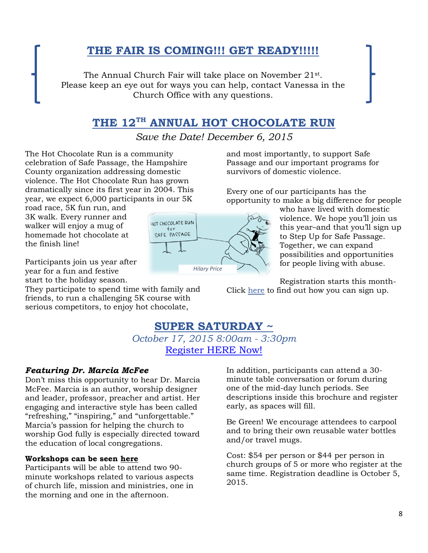# **THE FAIR IS COMING!!! GET READY!!!!!**

The Annual Church Fair will take place on November 21st . Please keep an eye out for ways you can help, contact Vanessa in the Church Office with any questions.

## **THE 12TH ANNUAL HOT CHOCOLATE RUN**

*Save the Date! December 6, 2015*

The Hot Chocolate Run is a community celebration of Safe Passage, the Hampshire County organization addressing domestic violence. The Hot Chocolate Run has grown dramatically since its first year in 2004. This year, we expect 6,000 participants in our 5K

road race, 5K fun run, and 3K walk. Every runner and walker will enjoy a mug of homemade hot chocolate at the finish line!

Participants join us year after year for a fun and festive start to the holiday season.

They participate to spend time with family and friends, to run a challenging 5K course with serious competitors, to enjoy hot chocolate,

and most importantly, to support Safe Passage and our important programs for survivors of domestic violence.

Every one of our participants has the opportunity to make a big difference for people

> who have lived with domestic violence. We hope you'll join us this year–and that you'll sign up to Step Up for Safe Passage. Together, we can expand possibilities and opportunities for people living with abuse.

Registration starts this month-Click [here](http://www.hotchocolaterun.com/register/) to find out how you can sign up.

# **SUPER SATURDAY ~**

*October 17, 2015 8:00am - 3:30pm* [Register HERE Now!](https://macucc-reg.brtapp.com/SuperSaturdayOctober2015)

#### *Featuring Dr. Marcia McFee*

Don't miss this opportunity to hear Dr. Marcia McFee. Marcia is an author, worship designer and leader, professor, preacher and artist. Her engaging and interactive style has been called "refreshing," "inspiring," and "unforgettable." Marcia's passion for helping the church to worship God fully is especially directed toward the education of local congregations.

#### **Workshops can be seen [here](http://www.macucc.org/eventdetail/487028)**

Participants will be able to attend two 90 minute workshops related to various aspects of church life, mission and ministries, one in the morning and one in the afternoon.

In addition, participants can attend a 30 minute table conversation or forum during one of the mid-day lunch periods. See descriptions inside this brochure and register early, as spaces will fill.

Be Green! We encourage attendees to carpool and to bring their own reusable water bottles and/or travel mugs.

Cost: \$54 per person or \$44 per person in church groups of 5 or more who register at the same time. Registration deadline is October 5, 2015.

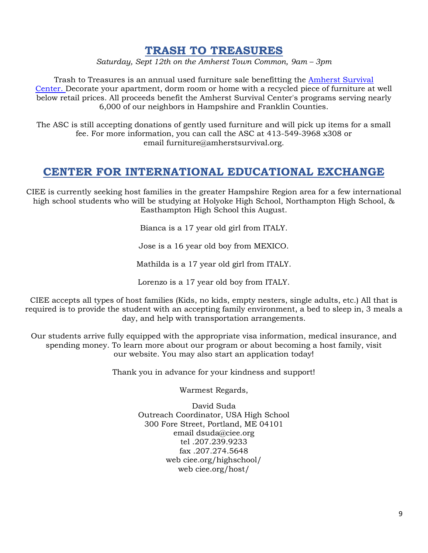#### **TRASH TO TREASURES**

*Saturday, Sept 12th on the Amherst Town Common, 9am – 3pm*

Trash to Treasures is an annual used furniture sale benefitting the [Amherst Survival](http://amherstsurvival.org/)  [Center.](http://amherstsurvival.org/) Decorate your apartment, dorm room or home with a recycled piece of furniture at well below retail prices. All proceeds benefit the Amherst Survival Center's programs serving nearly 6,000 of our neighbors in Hampshire and Franklin Counties.

The ASC is still accepting donations of gently used furniture and will pick up items for a small fee. For more information, you can call the ASC at 413-549-3968 x308 or email furniture@amherstsurvival.org.

#### **CENTER FOR INTERNATIONAL EDUCATIONAL EXCHANGE**

CIEE is currently seeking host families in the greater Hampshire Region area for a few international high school students who will be studying at Holyoke High School, Northampton High School, & Easthampton High School this August.

Bianca is a 17 year old girl from ITALY.

Jose is a 16 year old boy from MEXICO.

Mathilda is a 17 year old girl from ITALY.

Lorenzo is a 17 year old boy from ITALY.

CIEE accepts all types of host families (Kids, no kids, empty nesters, single adults, etc.) All that is required is to provide the student with an accepting family environment, a bed to sleep in, 3 meals a day, and help with transportation arrangements.

Our students arrive fully equipped with the appropriate visa information, medical insurance, and spending money. To learn more about our program or about becoming a host family, visit our website. You may also start an application today!

Thank you in advance for your kindness and support!

Warmest Regards,

David Suda Outreach Coordinator, USA High School 300 Fore Street, Portland, ME 04101 email dsuda@ciee.org tel .207.239.9233 fax .207.274.5648 web ciee.org/highschool/ web ciee.org/host/